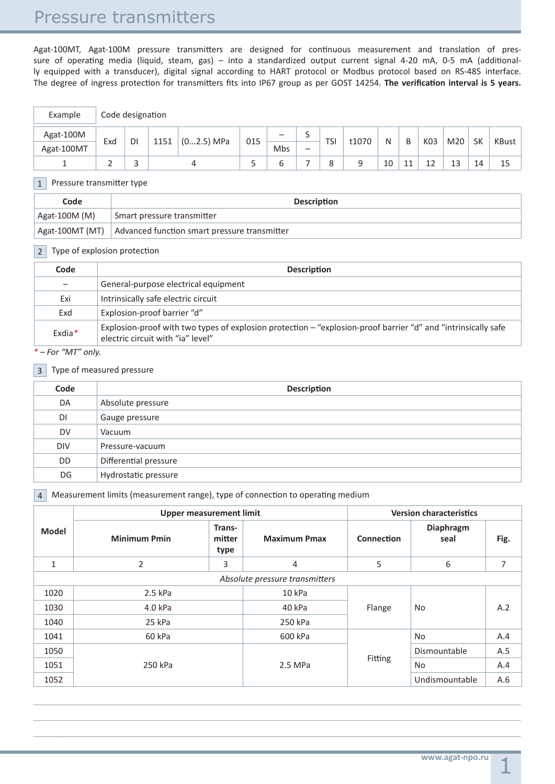Agat-100MT, Agat-100M pressure transmitters are designed for continuous measurement and translation of pressure of operating media (liquid, steam, gas) – into a standardized output current signal 4-20 mA, 0-5 mA (additionally equipped with a transducer), digital signal according to HART protocol or Modbus protocol based on RS-485 interface. The degree of ingress protection for transmitters fits into ΙΡ67 group as per GOST 14254. **The verification interval is 5 years.**

| Example    |     | Code designation |      |              |     |                 |   |     |       |    |    |          |         |           |       |
|------------|-----|------------------|------|--------------|-----|-----------------|---|-----|-------|----|----|----------|---------|-----------|-------|
| Agat-100M  |     | DI               | 1151 |              |     | $\qquad \qquad$ |   | TSI |       |    |    |          | M20     | <b>SK</b> | KBust |
| Agat-100MT | Exd |                  |      | $(02.5)$ MPa | 015 | Mbs             | - |     | t1070 | N  | B  | K03      |         |           |       |
|            |     |                  |      |              | ب   | ь               |   | 8   | a     | 10 | 11 | 1 า<br>∸ | 12<br>ᆠ | 14        | 15    |

### 1 Pressure transmitter type

| Code            | <b>Description</b>                           |  |  |
|-----------------|----------------------------------------------|--|--|
| Agat-100M (M)   | Smart pressure transmitter                   |  |  |
| Agat-100MT (MT) | Advanced function smart pressure transmitter |  |  |

### 2 Type of explosion protection

| Code   | <b>Description</b>                                                                                                                                 |
|--------|----------------------------------------------------------------------------------------------------------------------------------------------------|
|        | General-purpose electrical equipment                                                                                                               |
| Exi    | Intrinsically safe electric circuit                                                                                                                |
| Exd    | Explosion-proof barrier "d"                                                                                                                        |
| Exdia* | Explosion-proof with two types of explosion protection - "explosion-proof barrier "d" and "intrinsically safe<br>electric circuit with "ia" level" |

#### *\* – For "МТ" only.*

### 3 Type of measured pressure

| Code       | <b>Description</b>    |
|------------|-----------------------|
| DA         | Absolute pressure     |
| DI         | Gauge pressure        |
| DV         | Vacuum                |
| <b>DIV</b> | Pressure-vacuum       |
| <b>DD</b>  | Differential pressure |
| DG         | Hydrostatic pressure  |

### $4 \mid$  Measurement limits (measurement range), type of connection to operating medium

|                         | <b>Upper measurement limit</b> |                          | <b>Version characteristics</b> |            |                   |      |
|-------------------------|--------------------------------|--------------------------|--------------------------------|------------|-------------------|------|
| <b>Model</b>            | <b>Minimum Pmin</b>            | Trans-<br>mitter<br>type | <b>Maximum Pmax</b>            | Connection | Diaphragm<br>seal | Fig. |
| 1                       | $\overline{2}$                 | 3                        | 4                              | 5          | 6                 | 7    |
|                         |                                |                          | Absolute pressure transmitters |            |                   |      |
| 1020                    | $2.5$ kPa                      |                          | 10 kPa                         |            | No                | A.2  |
| 1030                    | 4.0 kPa                        |                          | 40 kPa                         | Flange     |                   |      |
| 1040                    | 25 kPa                         |                          | 250 kPa                        |            |                   |      |
| 1041                    | 60 kPa                         |                          | 600 kPa                        |            | <b>No</b>         | A.4  |
| 1050                    |                                |                          |                                |            | Dismountable      | A.5  |
| 250 kPa<br>1051<br>1052 |                                |                          | 2.5 MPa                        | Fitting    | No.               | A.4  |
|                         |                                |                          |                                |            | Undismountable    | A.6  |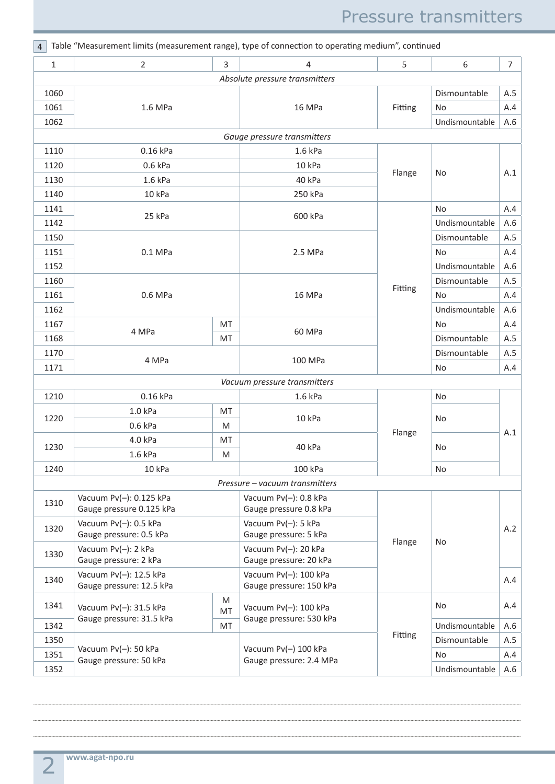| $\overline{4}$ | Table "Measurement limits (measurement range), type of connection to operating medium", continued |           |                                                  |         |                |                |
|----------------|---------------------------------------------------------------------------------------------------|-----------|--------------------------------------------------|---------|----------------|----------------|
| $\mathbf{1}$   | $\overline{2}$                                                                                    | 3         | $\overline{4}$                                   | 5       | 6              | 7 <sup>1</sup> |
|                |                                                                                                   |           | Absolute pressure transmitters                   |         |                |                |
| 1060           |                                                                                                   |           |                                                  |         | Dismountable   | A.5            |
| 1061           | 1.6 MPa                                                                                           |           | 16 MPa                                           | Fitting | No             | A.4            |
| 1062           |                                                                                                   |           |                                                  |         | Undismountable | A.6            |
|                |                                                                                                   |           | Gauge pressure transmitters                      |         |                |                |
| 1110           | 0.16 kPa                                                                                          |           | 1.6 kPa                                          |         |                |                |
| 1120           | 0.6 kPa                                                                                           |           | 10 kPa                                           | Flange  | No             | A.1            |
| 1130           | 1.6 kPa                                                                                           |           | 40 kPa                                           |         |                |                |
| 1140           | 10 kPa                                                                                            |           | 250 kPa                                          |         |                |                |
| 1141           | 25 kPa                                                                                            |           | 600 kPa                                          |         | <b>No</b>      | A.4            |
| 1142           |                                                                                                   |           |                                                  |         | Undismountable | A.6            |
| 1150           |                                                                                                   |           |                                                  |         | Dismountable   | A.5            |
| 1151           | $0.1$ MPa                                                                                         |           | 2.5 MPa                                          |         | No             | A.4            |
| 1152           |                                                                                                   |           |                                                  |         | Undismountable | A.6            |
| 1160           |                                                                                                   |           |                                                  |         | Dismountable   | A.5            |
| 1161           | 0.6 MPa                                                                                           |           | 16 MPa                                           | Fitting | No             | A.4            |
| 1162           |                                                                                                   |           |                                                  |         | Undismountable | A.6            |
| 1167           | <b>MT</b><br>4 MPa<br>MT                                                                          |           |                                                  |         | No             | A.4            |
| 1168           |                                                                                                   |           | 60 MPa                                           |         | Dismountable   | A.5            |
| 1170           |                                                                                                   |           |                                                  |         | Dismountable   | A.5            |
| 1171           | 4 MPa                                                                                             |           | 100 MPa                                          |         | No             | A.4            |
|                |                                                                                                   |           | Vacuum pressure transmitters                     |         |                |                |
| 1210           | 0.16 kPa                                                                                          |           | 1.6 kPa                                          |         | No             |                |
|                | 1.0 kPa                                                                                           | MT        | 10 kPa                                           |         |                |                |
| 1220           | 0.6 kPa                                                                                           | M         |                                                  |         | No             |                |
|                | 4.0 kPa                                                                                           | MT        |                                                  | Flange  |                | A.1            |
| 1230           | 1.6 kPa                                                                                           | M         | 40 kPa                                           |         | No             |                |
| 1240           | 10 kPa                                                                                            |           | 100 kPa                                          |         | No             |                |
|                |                                                                                                   |           | Pressure - vacuum transmitters                   |         |                |                |
| 1310           | Vacuum Pv(-): 0.125 kPa<br>Gauge pressure 0.125 kPa                                               |           | Vacuum Pv(-): 0.8 kPa<br>Gauge pressure 0.8 kPa  |         |                |                |
| 1320           | Vacuum Pv(-): 0.5 kPa<br>Gauge pressure: 0.5 kPa                                                  |           | Vacuum Pv(-): 5 kPa<br>Gauge pressure: 5 kPa     |         |                | A.2            |
| 1330           | Vacuum Pv(-): 2 kPa<br>Gauge pressure: 2 kPa                                                      |           | Vacuum Pv(-): 20 kPa<br>Gauge pressure: 20 kPa   | Flange  | No             |                |
| 1340           | Vacuum Pv(-): 12.5 kPa<br>Gauge pressure: 12.5 kPa                                                |           | Vacuum Pv(-): 100 kPa<br>Gauge pressure: 150 kPa |         |                | A.4            |
| 1341           | Vacuum Pv(-): 31.5 kPa                                                                            | M<br>MT   | Vacuum Pv(-): 100 kPa                            |         | No             | A.4            |
| 1342           | Gauge pressure: 31.5 kPa                                                                          | <b>MT</b> | Gauge pressure: 530 kPa                          |         | Undismountable | A.6            |
| 1350           |                                                                                                   |           |                                                  | Fitting | Dismountable   | A.5            |
| 1351           | Vacuum Pv(-): 50 kPa                                                                              |           | Vacuum Pv(-) 100 kPa                             |         | No             | A.4            |
| 1352           | Gauge pressure: 50 kPa                                                                            |           | Gauge pressure: 2.4 MPa                          |         | Undismountable | A.6            |

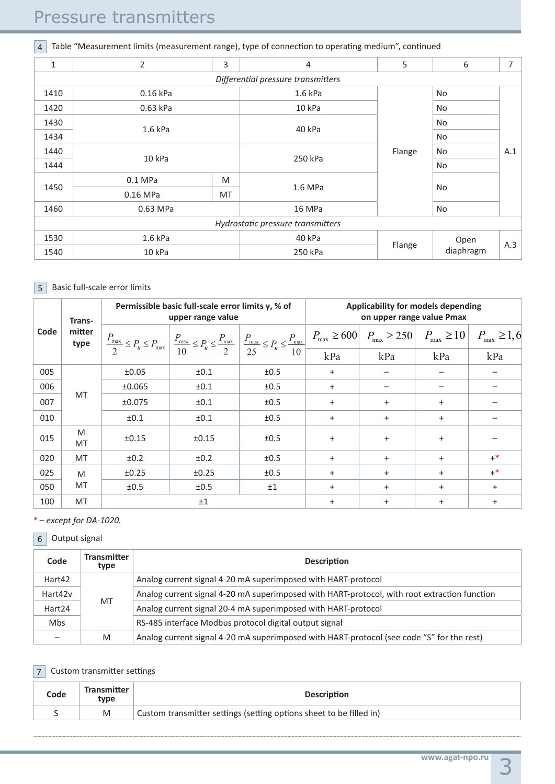| 4            | Table "Measurement limits (measurement range), type of connection to operating medium", continued |           |                                    |        |           |                |  |
|--------------|---------------------------------------------------------------------------------------------------|-----------|------------------------------------|--------|-----------|----------------|--|
| $\mathbf{1}$ | 3<br>2                                                                                            |           | 4                                  | 5      | 6         | $\overline{7}$ |  |
|              |                                                                                                   |           | Differential pressure transmitters |        |           |                |  |
| 1410         | 0.16 kPa                                                                                          |           |                                    |        | No        |                |  |
| 1420         | 0.63 kPa                                                                                          |           | 10 kPa                             |        | <b>No</b> |                |  |
| 1430         |                                                                                                   |           | 40 kPa                             |        | No        |                |  |
| 1434         | $1.6$ kPa                                                                                         |           |                                    |        | No        |                |  |
| 1440         |                                                                                                   |           |                                    | Flange | No        | A.1            |  |
| 1444         | 10 kPa                                                                                            |           | 250 kPa                            |        | No        |                |  |
|              | $0.1$ MPa<br>M                                                                                    |           |                                    |        |           |                |  |
| 1450         | 0.16 MPa                                                                                          | <b>MT</b> | 1.6 MPa                            |        | No        |                |  |
| 1460         | 0.63 MPa                                                                                          |           | 16 MPa                             |        | No        |                |  |
|              |                                                                                                   |           | Hydrostatic pressure transmitters  |        |           |                |  |
| 1530         | 1.6 kPa                                                                                           |           | 40 kPa                             |        | Open      |                |  |
| 1540         | 10 kPa                                                                                            |           | 250 kPa                            | Flange | diaphragm | A.3            |  |

### 5 Basic full-scale error limits

|      | Trans-         |        | Permissible basic full-scale error limits $\gamma$ , % of<br>upper range value |                                                                                                                                                                       | Applicability for models depending<br>on upper range value Pmax |                           |                          |                           |
|------|----------------|--------|--------------------------------------------------------------------------------|-----------------------------------------------------------------------------------------------------------------------------------------------------------------------|-----------------------------------------------------------------|---------------------------|--------------------------|---------------------------|
| Code | mitter<br>type |        |                                                                                | $\frac{P_{\max}}{2} \leq P_u \leq P_{\max} \left  \frac{P_{\max}}{10} \leq P_u \leq \frac{P_{\max}}{2} \right  \frac{P_{\max}}{25} \leq P_u \leq \frac{P_{\max}}{10}$ | $P_{\text{max}} \geq 600$                                       | $P_{\text{max}} \geq 250$ | $P_{\text{max}} \geq 10$ | $P_{\text{max}} \geq 1,6$ |
|      |                |        |                                                                                |                                                                                                                                                                       | kPa                                                             | kPa                       | kPa                      | kPa                       |
| 005  |                | ±0.05  | ±0.1                                                                           | ±0.5                                                                                                                                                                  | $+$                                                             |                           |                          |                           |
| 006  |                | ±0.065 | ±0.1                                                                           | ±0.5                                                                                                                                                                  | $\ddot{}$                                                       |                           |                          |                           |
| 007  | MT             | ±0.075 | ±0.1                                                                           | ±0.5                                                                                                                                                                  | $\ddot{}$                                                       | $\ddot{}$                 | $\ddot{}$                |                           |
| 010  |                | ±0.1   | ±0.1                                                                           | ±0.5                                                                                                                                                                  | $\ddot{}$                                                       | $\ddot{}$                 | $\ddot{}$                |                           |
| 015  | M<br>MT        | ±0.15  | ±0.15                                                                          | ±0.5                                                                                                                                                                  | $+$                                                             | $+$                       | $\ddot{}$                |                           |
| 020  | <b>MT</b>      | ±0.2   | ±0.2                                                                           | ±0.5                                                                                                                                                                  | $+$                                                             | $\ddot{}$                 | $\ddot{}$                | $+$ *                     |
| 025  | M              | ±0.25  | ±0.25                                                                          | ±0.5                                                                                                                                                                  | $+$                                                             | $+$                       | $\ddot{}$                | $+$ *                     |
| 050  | MT             | ±0.5   | ±0.5                                                                           | ±1                                                                                                                                                                    | $\ddot{}$                                                       | $+$                       | $\ddot{}$                | $\ddot{}$                 |
| 100  | <b>MT</b>      |        | ±1                                                                             |                                                                                                                                                                       | $\ddot{}$                                                       | $\ddot{}$                 | $\ddot{}$                | $\ddot{}$                 |

### *\* – except for DA-1020.*

### 6 Output signal

| Code    | <b>Transmitter</b><br>type | <b>Description</b>                                                                           |  |  |
|---------|----------------------------|----------------------------------------------------------------------------------------------|--|--|
| Hart42  | MT                         | Analog current signal 4-20 mA superimposed with HART-protocol                                |  |  |
| Hart42v |                            | Analog current signal 4-20 mA superimposed with HART-protocol, with root extraction function |  |  |
| Hart24  |                            | Analog current signal 20-4 mA superimposed with HART-protocol                                |  |  |
| Mbs     |                            | RS-485 interface Modbus protocol digital output signal                                       |  |  |
|         | M                          | Analog current signal 4-20 mA superimposed with HART-protocol (see code "S" for the rest)    |  |  |

### 7 Custom transmitter settings

| Code | <b>Transmitter</b> | <b>Description</b>                                                  |
|------|--------------------|---------------------------------------------------------------------|
|      | M                  | Custom transmitter settings (setting options sheet to be filled in) |

3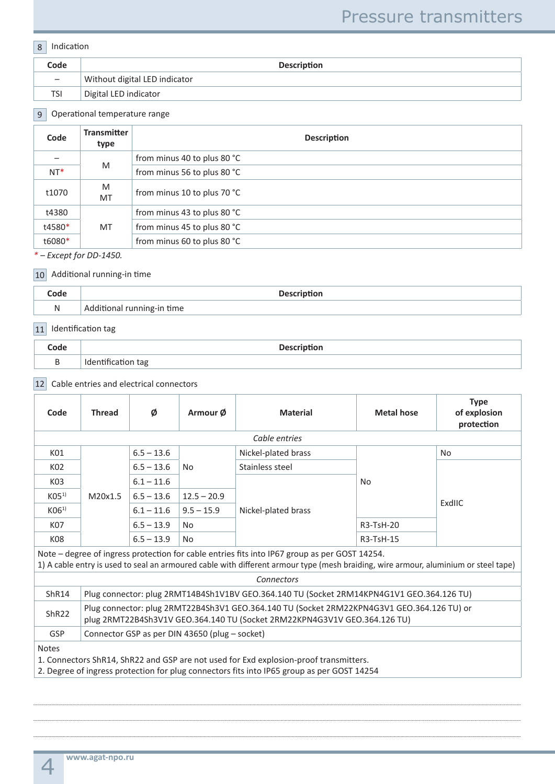### 8 | Indication

| Code                     | <b>Description</b>            |
|--------------------------|-------------------------------|
| $\overline{\phantom{m}}$ | Without digital LED indicator |
| <b>TSI</b>               | Digital LED indicator         |

#### Operational temperature range 9

| Code   | <b>Transmitter</b><br>type | <b>Description</b>          |  |  |
|--------|----------------------------|-----------------------------|--|--|
|        | M                          | from minus 40 to plus 80 °C |  |  |
| $NT*$  |                            | from minus 56 to plus 80 °C |  |  |
| t1070  | M<br>MT                    | from minus 10 to plus 70 °C |  |  |
| t4380  |                            | from minus 43 to plus 80 °C |  |  |
| t4580* | <b>MT</b>                  | from minus 45 to plus 80 °C |  |  |
| t6080* |                            | from minus 60 to plus 80 °C |  |  |

*\* – Except for DD-1450.*

### 10 Additional running-in time

| `ode | <b>Description</b>         |
|------|----------------------------|
| ΙN   | Additional running-in time |

#### 11 Identification tag

| code: | <b>Description</b>      |
|-------|-------------------------|
|       | Identifica<br>tag<br>ັບ |

### 12 Cable entries and electrical connectors

| Code                                                                                                                                                                                                                                 | <b>Thread</b>                                                                                                                                                           | Ø            | Armour Ø      | <b>Material</b>     | <b>Metal hose</b> | <b>Type</b><br>of explosion<br>protection |
|--------------------------------------------------------------------------------------------------------------------------------------------------------------------------------------------------------------------------------------|-------------------------------------------------------------------------------------------------------------------------------------------------------------------------|--------------|---------------|---------------------|-------------------|-------------------------------------------|
| Cable entries                                                                                                                                                                                                                        |                                                                                                                                                                         |              |               |                     |                   |                                           |
| K01                                                                                                                                                                                                                                  | M20x1.5                                                                                                                                                                 | $6.5 - 13.6$ |               | Nickel-plated brass | No.               | No.                                       |
| K02                                                                                                                                                                                                                                  |                                                                                                                                                                         | $6.5 - 13.6$ | No.           | Stainless steel     |                   | ExdIIC                                    |
| K03                                                                                                                                                                                                                                  |                                                                                                                                                                         | $6.1 - 11.6$ |               |                     |                   |                                           |
| K05 <sup>1</sup>                                                                                                                                                                                                                     |                                                                                                                                                                         | $6.5 - 13.6$ | $12.5 - 20.9$ |                     |                   |                                           |
| K06 <sup>1</sup>                                                                                                                                                                                                                     |                                                                                                                                                                         | $6.1 - 11.6$ | $9.5 - 15.9$  | Nickel-plated brass |                   |                                           |
| K07                                                                                                                                                                                                                                  |                                                                                                                                                                         | $6.5 - 13.9$ | No.           |                     | R3-TsH-20         |                                           |
| K08                                                                                                                                                                                                                                  |                                                                                                                                                                         | $6.5 - 13.9$ | <b>No</b>     |                     | R3-TsH-15         |                                           |
| Note – degree of ingress protection for cable entries fits into IP67 group as per GOST 14254.<br>1) A cable entry is used to seal an armoured cable with different armour type (mesh braiding, wire armour, aluminium or steel tape) |                                                                                                                                                                         |              |               |                     |                   |                                           |
| Connectors                                                                                                                                                                                                                           |                                                                                                                                                                         |              |               |                     |                   |                                           |
| ShR14                                                                                                                                                                                                                                | Plug connector: plug 2RMT14B4Sh1V1BV GEO.364.140 TU (Socket 2RM14KPN4G1V1 GEO.364.126 TU)                                                                               |              |               |                     |                   |                                           |
| ShR <sub>22</sub>                                                                                                                                                                                                                    | Plug connector: plug 2RMT22B4Sh3V1 GEO.364.140 TU (Socket 2RM22KPN4G3V1 GEO.364.126 TU) or<br>plug 2RMT22B4Sh3V1V GEO.364.140 TU (Socket 2RM22KPN4G3V1V GEO.364.126 TU) |              |               |                     |                   |                                           |

Notes

1. Connectors ShR14, ShR22 and GSP are not used for Exd explosion-proof transmitters.

GSP Connector GSP as per DIN 43650 (plug – socket)

2. Degree of ingress protection for plug connectors fits into IP65 group as per GOST 14254

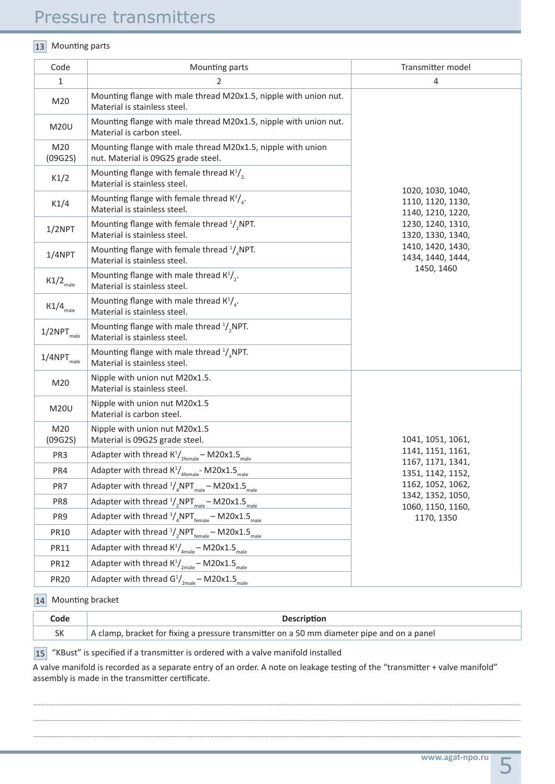### 13 Mounting parts

| Code                             | Mounting parts                                                                                     | Transmitter model                                                                                     |
|----------------------------------|----------------------------------------------------------------------------------------------------|-------------------------------------------------------------------------------------------------------|
| 1                                | 2                                                                                                  | 4                                                                                                     |
| M20                              | Mounting flange with male thread M20x1.5, nipple with union nut.<br>Material is stainless steel.   |                                                                                                       |
| <b>M20U</b>                      | Mounting flange with male thread M20x1.5, nipple with union nut.<br>Material is carbon steel.      |                                                                                                       |
| M20<br>(09G2S)                   | Mounting flange with male thread M20x1.5, nipple with union<br>nut. Material is 09G2S grade steel. |                                                                                                       |
| K1/2                             | Mounting flange with female thread $K^1/2$<br>Material is stainless steel.                         |                                                                                                       |
| K1/4                             | Mounting flange with female thread $K^1/\Lambda$ .<br>Material is stainless steel.                 | 1020, 1030, 1040,<br>1110, 1120, 1130,<br>1140, 1210, 1220,<br>1230, 1240, 1310,<br>1320, 1330, 1340, |
| $1/2$ NPT                        | Mounting flange with female thread $\frac{1}{2}$ , NPT.<br>Material is stainless steel.            |                                                                                                       |
| $1/4$ NPT                        | Mounting flange with female thread $\frac{1}{4}$ NPT.<br>Material is stainless steel.              | 1410, 1420, 1430,<br>1434, 1440, 1444,                                                                |
| $K1/2$ <sub>male</sub>           | Mounting flange with male thread $K^1/\Delta$ .<br>Material is stainless steel.                    | 1450, 1460                                                                                            |
| $\mathtt{K1/4}_{_{\text{male}}}$ | Mounting flange with male thread $K^1/_{\alpha}$ .<br>Material is stainless steel.                 |                                                                                                       |
| $1/2NPT$ <sub>male</sub>         | Mounting flange with male thread $\frac{1}{2}$ , NPT.<br>Material is stainless steel.              |                                                                                                       |
| $1/4\mathsf{NPT}_\mathsf{male}$  | Mounting flange with male thread $\frac{1}{4}$ NPT.<br>Material is stainless steel.                |                                                                                                       |
| M20                              | Nipple with union nut M20x1.5.<br>Material is stainless steel.                                     |                                                                                                       |
| <b>M20U</b>                      | Nipple with union nut M20x1.5<br>Material is carbon steel.                                         |                                                                                                       |
| M20<br>(09G2S)                   | Nipple with union nut M20x1.5<br>Material is 09G2S grade steel.                                    | 1041, 1051, 1061,                                                                                     |
| PR <sub>3</sub>                  | Adapter with thread $K^1/_{2\text{female}}$ – M20x1.5 <sub>male</sub>                              | 1141, 1151, 1161,                                                                                     |
| PR4                              | Adapter with thread $K^1/_{4$ female M20x1.5 <sub>male</sub>                                       | 1167, 1171, 1341,<br>1351, 1142, 1152,                                                                |
| PR7                              | Adapter with thread $\frac{1}{4}$ NPT <sub>male</sub> - M20x1.5 <sub>male</sub>                    | 1162, 1052, 1062,                                                                                     |
| PR8                              | Adapter with thread $\frac{1}{2}$ NPT <sub>male</sub> – M20x1.5 <sub>male</sub>                    | 1342, 1352, 1050,<br>1060, 1150, 1160,                                                                |
| PR9                              | Adapter with thread $\frac{1}{4}$ NPT <sub>female</sub> – M20x1.5 <sub>male</sub>                  | 1170, 1350                                                                                            |
| PR10                             | Adapter with thread $1/2$ <sub>NPT<sub>female</sub> – M20x1.5<sub>male</sub></sub>                 |                                                                                                       |
| PR11                             | Adapter with thread $K^1/_{4male}$ – M20x1.5 <sub>male</sub>                                       |                                                                                                       |
| PR12                             | Adapter with thread $K^1/_{2male}$ – M20x1.5 $_{male}$                                             |                                                                                                       |
| <b>PR20</b>                      | Adapter with thread $G^1/_{2male}$ – M20x1.5 <sub>male</sub>                                       |                                                                                                       |

### 14 Mounting bracket

| Code | <b>Description</b>                                                                         |
|------|--------------------------------------------------------------------------------------------|
|      | A clamp, bracket for fixing a pressure transmitter on a 50 mm diameter pipe and on a panel |
|      |                                                                                            |

"KBust" is specified if a transmitter is ordered with a valve manifold installed 15

A valve manifold is recorded as a separate entry of an order. A note on leakage testing of the "transmitter + valve manifold" assembly is made in the transmitter certificate.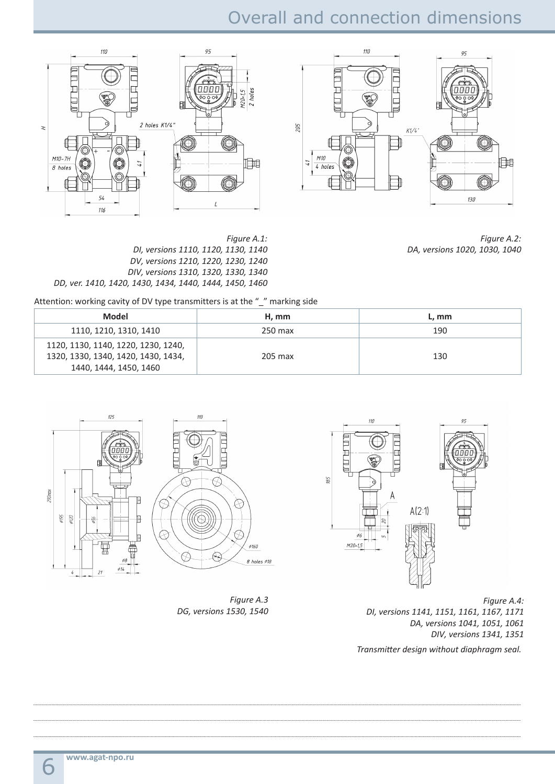# Overall and connection dimensions





*Figure А.1: DI, versions 1110, 1120, 1130, 1140 DV, versions 1210, 1220, 1230, 1240 DIV, versions 1310, 1320, 1330, 1340 DD, ver. 1410, 1420, 1430, 1434, 1440, 1444, 1450, 1460*

*Figure А.2: DA, versions 1020, 1030, 1040*

Attention: working cavity of DV type transmitters is at the "\_" marking side

| Model                                                                                                | H. mm   | L, mm |
|------------------------------------------------------------------------------------------------------|---------|-------|
| 1110, 1210, 1310, 1410                                                                               | 250 max | 190   |
| 1120, 1130, 1140, 1220, 1230, 1240,<br>1320, 1330, 1340, 1420, 1430, 1434,<br>1440, 1444, 1450, 1460 | 205 max | 130   |



*Figure А.3 DG, versions 1530, 1540*



*Figure А.4: DI, versions 1141, 1151, 1161, 1167, 1171 DA, versions 1041, 1051, 1061 DIV, versions 1341, 1351*

*Transmitter design without diaphragm seal.*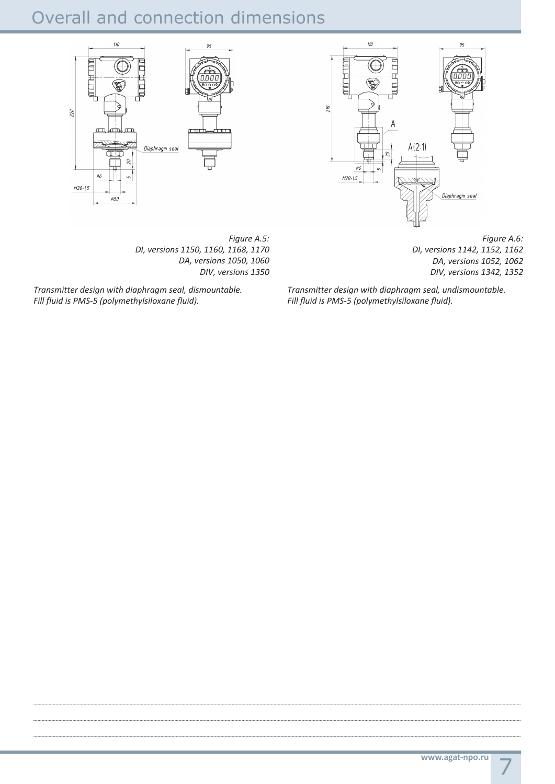## Overall and connection dimensions





*Figure А.5: DI, versions 1150, 1160, 1168, 1170 DA, versions 1050, 1060 DIV, versions 1350*

*Transmitter design with diaphragm seal, dismountable. Fill fluid is PMS-5 (polymethylsiloxane fluid).*

*Figure А.6: DI, versions 1142, 1152, 1162 DA, versions 1052, 1062 DIV, versions 1342, 1352*

*Transmitter design with diaphragm seal, undismountable. Fill fluid is PMS-5 (polymethylsiloxane fluid).*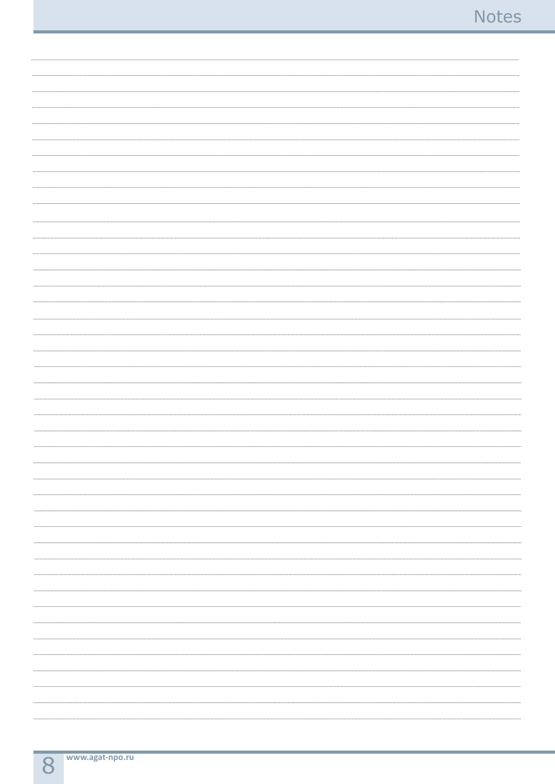| ,,,,,,,,,,,,,,,,,,,,,,,,, |  |
|---------------------------|--|
|                           |  |
|                           |  |
|                           |  |
|                           |  |
|                           |  |
|                           |  |
|                           |  |
|                           |  |
|                           |  |
|                           |  |
|                           |  |
|                           |  |
|                           |  |
|                           |  |
|                           |  |
|                           |  |